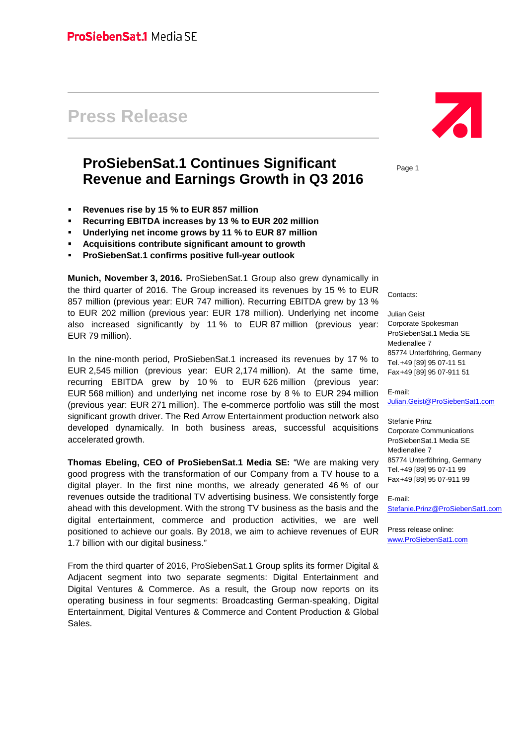# **Press Release**

## **ProSiebenSat.1 Continues Significant Revenue and Earnings Growth in Q3 2016**

- **Revenues rise by 15 % to EUR 857 million**
- **Recurring EBITDA increases by 13 % to EUR 202 million**
- **Underlying net income grows by 11 % to EUR 87 million**
- **Acquisitions contribute significant amount to growth**
- **ProSiebenSat.1 confirms positive full-year outlook**

**Munich, November 3, 2016.** ProSiebenSat.1 Group also grew dynamically in the third quarter of 2016. The Group increased its revenues by 15 % to EUR 857 million (previous year: EUR 747 million). Recurring EBITDA grew by 13 % to EUR 202 million (previous year: EUR 178 million). Underlying net income also increased significantly by 11 % to EUR 87 million (previous year: EUR 79 million).

In the nine-month period, ProSiebenSat.1 increased its revenues by 17 % to EUR 2,545 million (previous year: EUR 2,174 million). At the same time, recurring EBITDA grew by 10 % to EUR 626 million (previous year: EUR 568 million) and underlying net income rose by 8 % to EUR 294 million (previous year: EUR 271 million). The e-commerce portfolio was still the most significant growth driver. The Red Arrow Entertainment production network also developed dynamically. In both business areas, successful acquisitions accelerated growth.

**Thomas Ebeling, CEO of ProSiebenSat.1 Media SE:** "We are making very good progress with the transformation of our Company from a TV house to a digital player. In the first nine months, we already generated 46 % of our revenues outside the traditional TV advertising business. We consistently forge ahead with this development. With the strong TV business as the basis and the digital entertainment, commerce and production activities, we are well positioned to achieve our goals. By 2018, we aim to achieve revenues of EUR 1.7 billion with our digital business."

From the third quarter of 2016, ProSiebenSat.1 Group splits its former Digital & Adjacent segment into two separate segments: Digital Entertainment and Digital Ventures & Commerce. As a result, the Group now reports on its operating business in four segments: Broadcasting German-speaking, Digital Entertainment, Digital Ventures & Commerce and Content Production & Global Sales.



Page 1

Contacts:

Julian Geist Corporate Spokesman ProSiebenSat.1 Media SE Medienallee 7 85774 Unterföhring, Germany Tel.+49 [89] 95 07-11 51 Fax+49 [89] 95 07-911 51

E-mail:

[Julian.Geist@ProSiebenSat1.com](mailto:Julian.Geist@prosiebensat1.com)

Stefanie Prinz Corporate Communications ProSiebenSat.1 Media SE Medienallee 7 85774 Unterföhring, Germany Tel.+49 [89] 95 07-11 99 Fax+49 [89] 95 07-911 99

E-mail: [Stefanie.Prinz@ProSiebenSat1.com](mailto:Stefanie.Prinz@prosiebensat1.com)

Press release online: [www.ProSiebenSat1.com](http://www.prosiebensat1.com/)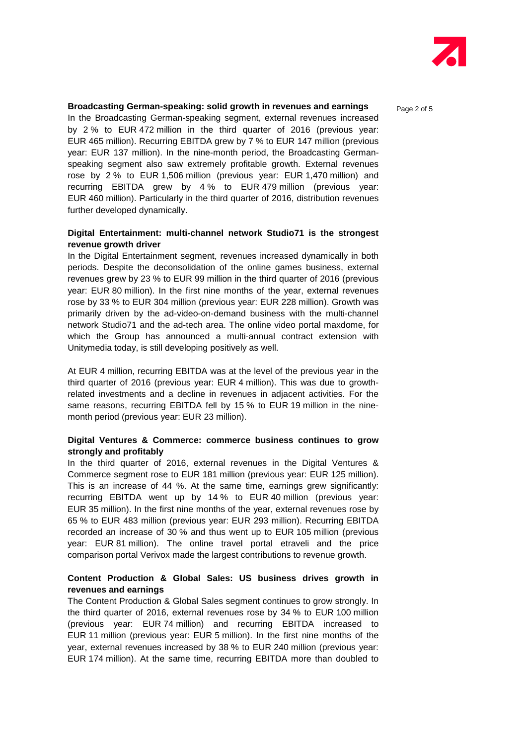

#### **Broadcasting German-speaking: solid growth in revenues and earnings**  $P_{\text{a}ae 2 of 5}$

In the Broadcasting German-speaking segment, external revenues increased by 2 % to EUR 472 million in the third quarter of 2016 (previous year: EUR 465 million). Recurring EBITDA grew by 7 % to EUR 147 million (previous year: EUR 137 million). In the nine-month period, the Broadcasting Germanspeaking segment also saw extremely profitable growth. External revenues rose by 2 % to EUR 1,506 million (previous year: EUR 1,470 million) and recurring EBITDA grew by 4 % to EUR 479 million (previous year: EUR 460 million). Particularly in the third quarter of 2016, distribution revenues further developed dynamically.

#### **Digital Entertainment: multi-channel network Studio71 is the strongest revenue growth driver**

In the Digital Entertainment segment, revenues increased dynamically in both periods. Despite the deconsolidation of the online games business, external revenues grew by 23 % to EUR 99 million in the third quarter of 2016 (previous year: EUR 80 million). In the first nine months of the year, external revenues rose by 33 % to EUR 304 million (previous year: EUR 228 million). Growth was primarily driven by the ad-video-on-demand business with the multi-channel network Studio71 and the ad-tech area. The online video portal maxdome, for which the Group has announced a multi-annual contract extension with Unitymedia today, is still developing positively as well.

At EUR 4 million, recurring EBITDA was at the level of the previous year in the third quarter of 2016 (previous year: EUR 4 million). This was due to growthrelated investments and a decline in revenues in adjacent activities. For the same reasons, recurring EBITDA fell by 15 % to EUR 19 million in the ninemonth period (previous year: EUR 23 million).

#### **Digital Ventures & Commerce: commerce business continues to grow strongly and profitably**

In the third quarter of 2016, external revenues in the Digital Ventures & Commerce segment rose to EUR 181 million (previous year: EUR 125 million). This is an increase of 44 %. At the same time, earnings grew significantly: recurring EBITDA went up by 14 % to EUR 40 million (previous year: EUR 35 million). In the first nine months of the year, external revenues rose by 65 % to EUR 483 million (previous year: EUR 293 million). Recurring EBITDA recorded an increase of 30 % and thus went up to EUR 105 million (previous year: EUR 81 million). The online travel portal etraveli and the price comparison portal Verivox made the largest contributions to revenue growth.

#### **Content Production & Global Sales: US business drives growth in revenues and earnings**

The Content Production & Global Sales segment continues to grow strongly. In the third quarter of 2016, external revenues rose by 34 % to EUR 100 million (previous year: EUR 74 million) and recurring EBITDA increased to EUR 11 million (previous year: EUR 5 million). In the first nine months of the year, external revenues increased by 38 % to EUR 240 million (previous year: EUR 174 million). At the same time, recurring EBITDA more than doubled to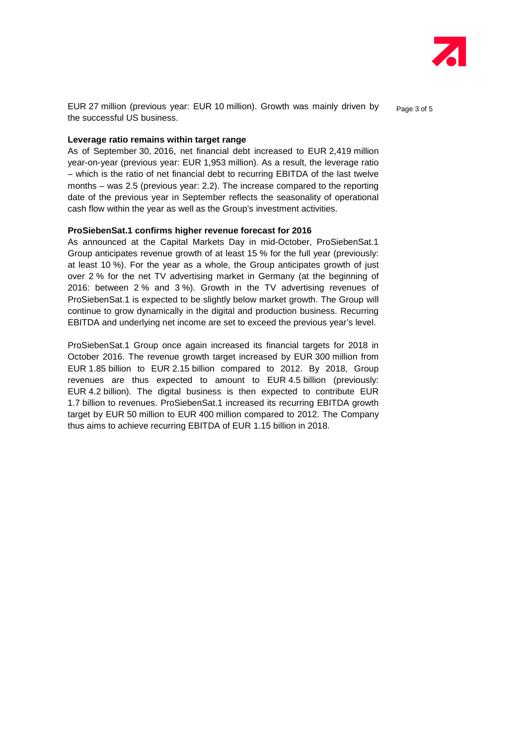

EUR 27 million (previous year: EUR 10 million). Growth was mainly driven by  $P_{\text{age 3 of 5}}$ the successful US business.

#### **Leverage ratio remains within target range**

As of September 30, 2016, net financial debt increased to EUR 2,419 million year-on-year (previous year: EUR 1,953 million). As a result, the leverage ratio – which is the ratio of net financial debt to recurring EBITDA of the last twelve months – was 2.5 (previous year: 2.2). The increase compared to the reporting date of the previous year in September reflects the seasonality of operational cash flow within the year as well as the Group's investment activities.

#### **ProSiebenSat.1 confirms higher revenue forecast for 2016**

As announced at the Capital Markets Day in mid-October, ProSiebenSat.1 Group anticipates revenue growth of at least 15 % for the full year (previously: at least 10 %). For the year as a whole, the Group anticipates growth of just over 2 % for the net TV advertising market in Germany (at the beginning of 2016: between 2 % and 3 %). Growth in the TV advertising revenues of ProSiebenSat.1 is expected to be slightly below market growth. The Group will continue to grow dynamically in the digital and production business. Recurring EBITDA and underlying net income are set to exceed the previous year's level.

ProSiebenSat.1 Group once again increased its financial targets for 2018 in October 2016. The revenue growth target increased by EUR 300 million from EUR 1.85 billion to EUR 2.15 billion compared to 2012. By 2018, Group revenues are thus expected to amount to EUR 4.5 billion (previously: EUR 4.2 billion). The digital business is then expected to contribute EUR 1.7 billion to revenues. ProSiebenSat.1 increased its recurring EBITDA growth target by EUR 50 million to EUR 400 million compared to 2012. The Company thus aims to achieve recurring EBITDA of EUR 1.15 billion in 2018.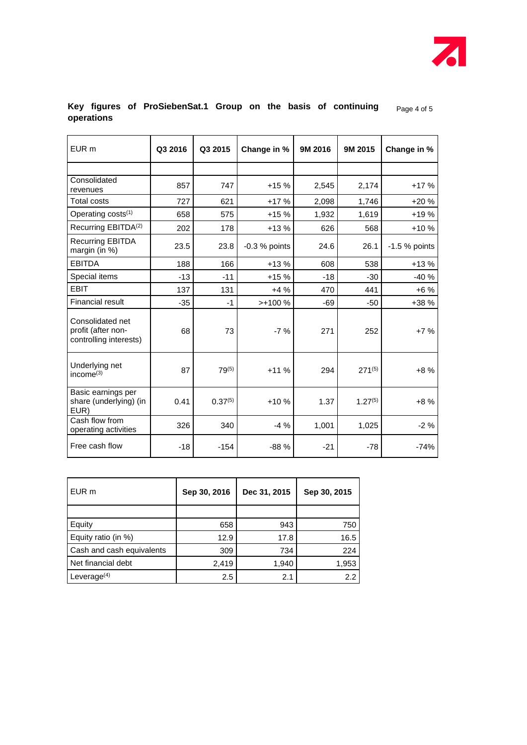

### **Key figures of ProSiebenSat.1 Group on the basis of continuing**  $_{Page\ 4\ 0f\ 5}$ **operations**

| EUR <sub>m</sub>                                                 | Q3 2016 | Q3 2015      | Change in %     | 9M 2016 | 9M 2015      | Change in %    |
|------------------------------------------------------------------|---------|--------------|-----------------|---------|--------------|----------------|
|                                                                  |         |              |                 |         |              |                |
| Consolidated<br>revenues                                         | 857     | 747          | $+15%$          | 2,545   | 2,174        | $+17%$         |
| <b>Total costs</b>                                               | 727     | 621          | $+17%$          | 2,098   | 1,746        | $+20%$         |
| Operating costs <sup>(1)</sup>                                   | 658     | 575          | $+15%$          | 1,932   | 1,619        | $+19%$         |
| Recurring EBITDA <sup>(2)</sup>                                  | 202     | 178          | $+13%$          | 626     | 568          | $+10%$         |
| <b>Recurring EBITDA</b><br>margin (in $%$ )                      | 23.5    | 23.8         | $-0.3$ % points | 24.6    | 26.1         | $-1.5%$ points |
| <b>EBITDA</b>                                                    | 188     | 166          | $+13%$          | 608     | 538          | $+13%$         |
| Special items                                                    | $-13$   | $-11$        | $+15%$          | $-18$   | $-30$        | $-40%$         |
| <b>EBIT</b>                                                      | 137     | 131          | $+4%$           | 470     | 441          | $+6%$          |
| <b>Financial result</b>                                          | $-35$   | $-1$         | $>+100%$        | $-69$   | -50          | $+38%$         |
| Consolidated net<br>profit (after non-<br>controlling interests) | 68      | 73           | $-7%$           | 271     | 252          | $+7%$          |
| Underlying net<br>income $^{(3)}$                                | 87      | $79^{(5)}$   | $+11%$          | 294     | $271^{(5)}$  | $+8%$          |
| Basic earnings per<br>share (underlying) (in<br>EUR)             | 0.41    | $0.37^{(5)}$ | $+10%$          | 1.37    | $1.27^{(5)}$ | $+8%$          |
| Cash flow from<br>operating activities                           | 326     | 340          | $-4%$           | 1,001   | 1,025        | $-2\%$         |
| Free cash flow                                                   | $-18$   | $-154$       | $-88%$          | $-21$   | $-78$        | $-74%$         |

| EUR m                     | Sep 30, 2016 | Dec 31, 2015 | Sep 30, 2015 |
|---------------------------|--------------|--------------|--------------|
|                           |              |              |              |
| Equity                    | 658          | 943          | 750          |
| Equity ratio (in %)       | 12.9         | 17.8         | 16.5         |
| Cash and cash equivalents | 309          | 734          | 224          |
| Net financial debt        | 2,419        | 1,940        | 1,953        |
| Leverage $(4)$            | 2.5          | 2.1          | 2.2          |